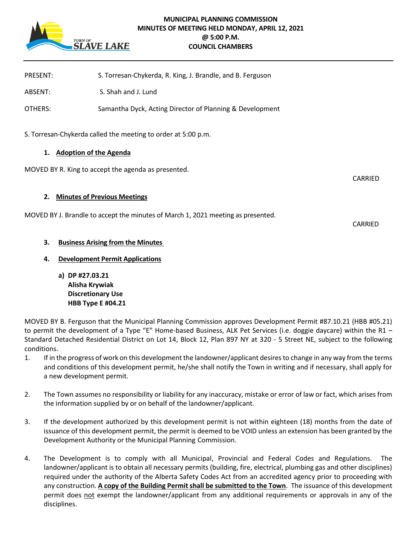

# **MUNICIPAL PLANNING COMMISSION MINUTES OF MEETING HELD MONDAY, APRIL 12, 2021 @ 5:00 P.M. COUNCIL CHAMBERS**

| <b>PRESENT:</b>                                                                  | S. Torresan-Chykerda, R. King, J. Brandle, and B. Ferguson |                |
|----------------------------------------------------------------------------------|------------------------------------------------------------|----------------|
| ABSENT:                                                                          | S. Shah and J. Lund                                        |                |
| OTHERS:                                                                          | Samantha Dyck, Acting Director of Planning & Development   |                |
| S. Torresan-Chykerda called the meeting to order at 5:00 p.m.                    |                                                            |                |
| <b>Adoption of the Agenda</b><br>1.                                              |                                                            |                |
|                                                                                  | MOVED BY R. King to accept the agenda as presented.        |                |
|                                                                                  |                                                            | <b>CARRIED</b> |
| 2.                                                                               | <b>Minutes of Previous Meetings</b>                        |                |
| MOVED BY J. Brandle to accept the minutes of March 1, 2021 meeting as presented. |                                                            |                |
|                                                                                  |                                                            | CARRIED        |
| 3.                                                                               | <b>Business Arising from the Minutes</b>                   |                |
| 4.                                                                               | <b>Development Permit Applications</b>                     |                |

**a) DP #27.03.21 Alisha Krywiak Discretionary Use HBB Type E #04.21**

MOVED BY B. Ferguson that the Municipal Planning Commission approves Development Permit #87.10.21 (HBB #05.21) to permit the development of a Type "E" Home-based Business, ALK Pet Services (i.e. doggie daycare) within the R1 – Standard Detached Residential District on Lot 14, Block 12, Plan 897 NY at 320 - 5 Street NE, subject to the following conditions.

- 1. If in the progress of work on this development the landowner/applicant desires to change in any way from the terms and conditions of this development permit, he/she shall notify the Town in writing and if necessary, shall apply for a new development permit.
- 2. The Town assumes no responsibility or liability for any inaccuracy, mistake or error of law or fact, which arises from the information supplied by or on behalf of the landowner/applicant.
- 3. If the development authorized by this development permit is not within eighteen (18) months from the date of issuance of this development permit, the permit is deemed to be VOID unless an extension has been granted by the Development Authority or the Municipal Planning Commission.
- 4. The Development is to comply with all Municipal, Provincial and Federal Codes and Regulations. The landowner/applicant is to obtain all necessary permits (building, fire, electrical, plumbing gas and other disciplines) required under the authority of the Alberta Safety Codes Act from an accredited agency prior to proceeding with any construction. **A copy of the Building Permit shall be submitted to the Town**. The issuance of this development permit does not exempt the landowner/applicant from any additional requirements or approvals in any of the disciplines.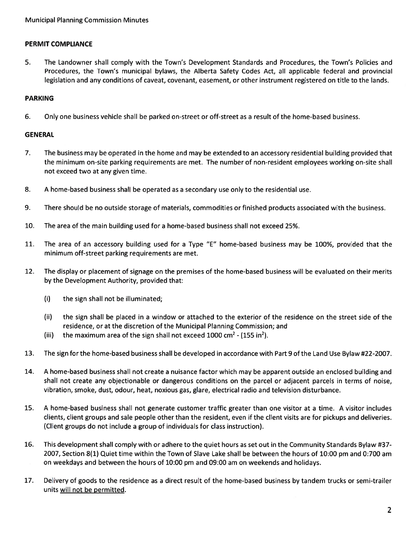# PERMIT COMPLIANCE

5. $5.$  The Landowner shall comply with the Town's Development Standards and Procedures, the Town's Policies and Procedures, the Town's municipal bylaws, the Alberta Safety Codes Act, all applicable federal and provincial legislation and any conditions of caveat, covenant, easement, or other instrument registered on title to the lands.

## PARKING

6.Only one business vehicle shall be parked on-street or off-street as <sup>a</sup> result of the home-based business.

## GENERAL

- 7. The business may be operated in the home and may be extended to an accessory residential building provided that the minimum on-site parking requirements are met. The number of non-resident employees working on-site shall not exceed two at any given time.
- 8.A home-based business shall be operated as <sup>a</sup> secondary use only to the residential use.
- 9.There should be no outside storage of materials, commodities or finished products associated with the business.
- 10.The area of the main building used for <sup>a</sup> home-based business shall not exceed 25%.
- 11. The area of an accessory building used for <sup>a</sup> Type "E" home-based business may be 100%, provided that the minimum off-street parking requirements are met.
- 12. The display or placement of signage on the premises of the home-based business will be evaluated on their merits by the Development Authority, provided that:
	- (i) the sign shall not be illuminated;
	- (ii) the sign shall be placed in <sup>a</sup> window or attached to the exterior of the residence on the street side of the residence, or at the discretion of the Municipal Planning Commission; and
	- (iii) the maximum area of the sign shall not exceed 1000 cm<sup>2</sup> (155 in<sup>2</sup>).
- 13.The sign for the home-based business shall be developed in accordance with Part 9 of the Land Use Bylaw #22-2007.
- 14. AA home-based business shall not create a nuisance factor which may be apparent outside an enclosed building and shall not create any objectionable or dangerous conditions on the parcel or adjacent parcels in terms of noise vibration, smoke, dust, odour, heat, noxious gas, glare, electrical radio and television disturbance.
- 15. A home-based business shall not generate customer traffic greater than one visitor at <sup>a</sup> time. A visitor includes clients, client groups and sale people other than the resident, even if the client visits are for pickups and deliveries. (Client groups do not include <sup>a</sup> group of individuals for class instruction).
- 16. This development shall comply with or adhere to the quiet hours as set out in the Community Standards Bylaw #37- 2007, Section 8(1) Quiet time within the Town of Slave Lake shall be between the hours of 10:00 pm and 0:700 am on weekdays and between the hours of 10:00 pm and 09:00 am on weekends and holidays.
- 17. Delivery of goods to the residence as <sup>a</sup> direct result of the home-based business by tandem trucks or semi-trailer units will not be permitted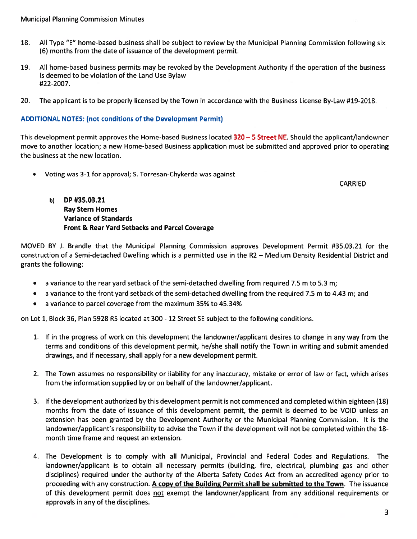- 18. All Type "E" home-based business shall be subject to review by the Municipal Planning Commission following six (6) months from the date of issuance of the development permit.
- 19. All home-based business permits may be revoked by the Development Authority if the operation of the business is deemed to be violation of the Land Use Bylaw #22-2007.
- 20. The applicant is to be properly licensed by the Town in accordance with the Business License By-Law #19-2018.

## ADDITIONAL NOTES: (not conditions of the Development Permit)

This development permit approves the Home-based Business located 320 – 5 Street NE. Should the applicant/landowner move to another location; <sup>a</sup> new Home-based Business application must be submitted and approved prior to operating the business at the new location.

Voting was 3-1 for approval; S. Torresan-Chykerda was against

CARRIED

b) DP #35.03.21 Ray Stern Homes Variance of Standards Front & Rear Yard Setbacks and Parcel Coverage

MOVED BY J. Brandle that the Municipal Planning Commission approves Development Permit #35.03.21 for the construction of <sup>a</sup> Semi-detached Dwelling which is <sup>a</sup> permitted use in the R2 — Medium Density Residential District and grants the following:

- $\bullet$   $^-$  a variance to the rear yard setback of the semi-detached dwelling from required 7.5 m to 5.3 m;
- $\bullet$   $\;$  a variance to the front yard setback of the semi-detached dwelling from the required 7.5 m to 4.43 m; and
- <sup>a</sup> variance to parcel coverage from the maximum 35% to 45.34%

on Lot 1, Block 36, Plan 5928 RS located at 300 -12 Street SE subject to the following conditions.

- 1. If in the progress of work on this development the landowner/applicant desires to change in any way from the terms and conditions of this development permit, he/she shall notify the Town in writing and submit amended drawings, and if necessary, shall apply for <sup>a</sup> new development permit.
- 2. The Town assumes no responsibility or liability for any inaccuracy, mistake or error of law or fact, which arises from the information supplied by or on behalf of the landowner/applicant.
- 3. If the development authorized by this development permit is not commenced and completed within eighteen (18) months from the date of issuance of this development permit, the permit is deemed to be VOID unless an extension has been granted by the Development Authority or the Municipal Planning Commission. It is the landowner/applicant's responsibility to advise the Town if the development will not be completed within the 18 month time frame and reques<sup>t</sup> an extension.
- 4. The Development is to comply with all Municipal, Provincial and Federal Codes and Regulations. The landowner/applicant is to obtain all necessary permits (building, fire, electrical, plumbing gas and other disciplines) required under the authority of the Alberta Safety Codes Act from an accredited agency prior to proceeding with any construction. A copy of the Building Permit shall be submitted to the Town. The issuance of this development permit does not exempt the landowner/applicant from any additional requirements or approvals in any of the disciplines.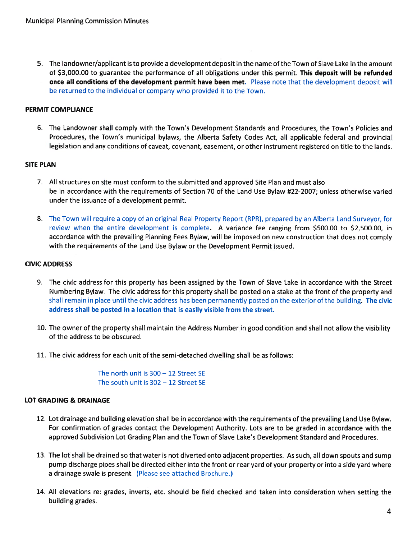5. The landowner/applicant is to provide <sup>a</sup> development deposit in the name of the Town of Slave Lake in the amount of \$3,000.00 to guarantee the performance of all obligations under this permit. This deposit will be refunded **once all conditions of the development permit have been met.** Please note that the development deposit wil be returned to the individual or company who provided it to the Town.

# PERMIT COMPLIANCE

6. The Landowner shall comply with the Town's Development Standards and Procedures, the Town's Policies and Procedures, the Town's municipal bylaws, the Alberta Safety Codes Act, all applicable federal and provincial legislation and any conditions of caveat, covenant, easement, or other instrument registered on title to the lands.

# SITE PLAN

- 7. All structures on site must conform to the submitted and approved Site Plan and must also be in accordance with the requirements of Section 70 of the Land Use Bylaw #22-2007; unless otherwise varied under the issuance of <sup>a</sup> development permit.
- 8. The Town will require <sup>a</sup> copy of an original Real Property Report (RPR), prepared by an Alberta Land Surveyor, for review when the entire development is complete. A variance fee ranging from \$500.00 to \$2,500.00, ir accordance with the prevailing Planning Fees Bylaw, will be imposed on new construction that does not comply with the requirements of the Land Use Bylaw or the Development Permit issued.

# CIVIC ADDRESS

- 9. The civic address for this property has been assigned by the Town of Slave Lake in accordance with the Street Numbering Bylaw. The civic address for this property shall be posted on <sup>a</sup> stake at the front of the property and shall remain in place until the civic address has been permanently posted on the exterior of the building. The civic address shall be posted in <sup>a</sup> location that is easily visible from the street.
- 10, The owner of the property shall maintain the Address Number in good condition and shall not allow the visibility of the address to be obscured.
- 11. The civic address for each unit of the semi-detached dwelling shall be as follows:

The north unit is 300— 12 Street SE The south unit is 302— 12 Street SE

# LOT GRADING & DRAINAGE

- 12. Lot drainage and building elevation shall be in accordance with the requirements of the prevailing Land Use Bylaw. For confirmation of grades contact the Development Authority. Lots are to be graded in accordance with the approved Subdivision Lot Grading Plan and the Town of Slave Lake's Development Standard and Procedures.
- 13. The lot shall be drained so that water is not diverted onto adjacent properties. As such, all down spouts and sump pump discharge pipes shall be directed either into the front or rear yard of your property or into <sup>a</sup> side yard where a drainage swale is present. (Please see attached Brochure.)
- 14. All elevations re: grades, inverts, etc. should be field checked and taken into consideration when setting the building grades.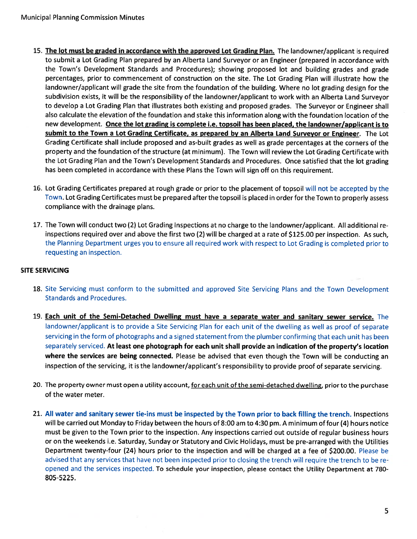- 15. The lot must be graded in accordance with the approved Lot Grading Plan. The landowner/applicant is required to submit <sup>a</sup> Lot Grading Plan prepared by an Alberta Land Surveyor or an Engineer (prepared in accordance with the Town's Development Standards and Procedures); showing propose<sup>d</sup> lot and building grades and grade percentages, prior to commencement of construction on the site. The Lot Grading Plan will illustrate how the landowner/applicant will grade the site from the foundation of the building. Where no lot grading design for the subdivision exists, it will be the responsibility of the landowner/applicant to work with an Alberta Land Surveyor to develop <sup>a</sup> Lot Grading Plan that illustrates both existing and proposed grades. The Surveyor or Engineer shall also calculate the elevation of the foundation and stake this information along with the foundation location of the new development. Once the lot grading is complete i.e. topsoil has been <sup>p</sup>laced, the landowner/applicant is to submit to the Town a Lot Grading Certificate, as prepared by an Alberta Land Surveyor or Engineer. The Lot Grading Certificate shall include proposed and as-built grades as well as grade percentages at the corners of the property and the foundation of the structure (at minimum). The Town will review the Lot Grading Certificate with the Lot Grading Plan and the Town's Development Standards and Procedures. Once satisfied that the lot grading has been completed in accordance with these Plans the Town will sign off on this requirement.
- 16. Lot Grading Certificates prepared at roug<sup>h</sup> grade or prior to the <sup>p</sup>lacement of topsoil will not be accepted by the Town. Lot Grading Certificates must be prepared after the topsoil is <sup>p</sup>laced in order for the Town to properly assess compliance with the drainage plans.
- 17. The Town will conduct two (2) Lot Grading Inspections at no charge to the landowner/applicant. All additional re inspections required over and above the first two (2) will be charged at <sup>a</sup> rate of \$125.00 per inspection. As such, the Planning Department urges you to ensure all required work with respec<sup>t</sup> to Lot Grading is completed prior to requesting an inspection.

# SITE SERVICING

- 18. Site Servicing must conform to the submitted and approved Site Servicing Plans and the Town Development Standards and Procedures.
- 19. Each unit of the Semi-Detached Dwelling must have <sup>a</sup> separate water and sanitary sewer service. The landowner/applicant is to provide <sup>a</sup> Site Servicing Plan for each unit of the dwelling as well as proo<sup>f</sup> of separate servicing in the form of <sup>p</sup>hotographs and <sup>a</sup> signed statement from the <sup>p</sup>lumber confirming that each unit has been separately serviced. At least one photograph for each unit shall provide an indication of the property's location where the services are being connected. Please be advised that even though the Town will be conducting an inspection of the servicing, it is the landowner/applicant's responsibility to provide proo<sup>f</sup> of separate servicing.
- 20. The property owner must open a utility account, for each unit of the semi-detached dwelling, prior to the purchase of the water meter.
- 21. All water and sanitary sewer tie-ins must be inspected by the Town prior to back filling the trench. Inspections will be carried out Monday to Friday between the hours of 8:00 am to 4:30 pm. <sup>A</sup> minimum of four (4) hours notice must be given to the Town prior to the inspection. Any inspections carried out outside of regular business hours or on the weekends i.e. Saturday, Sunday or Statutory and Civic Holidays, must be pre-arranged with the Utilities Department twenty-four (24) hours prior to the inspection and will be charged at <sup>a</sup> fee of \$200.00. Please be advised that any services that have not been inspected prior to closing the trench will require the trench to be re opened and the services inspected. To schedule your inspection, <sup>p</sup>lease contact the Utility Department at 780- 805-5225.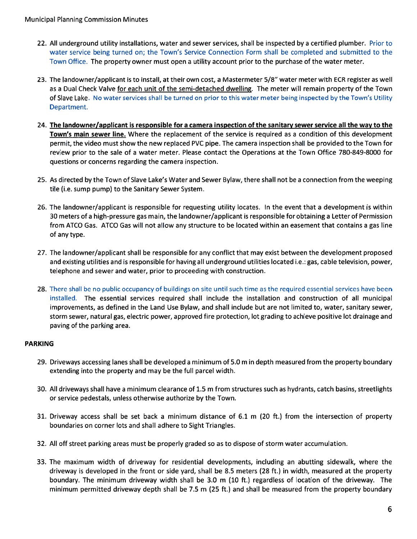- 22. All underground utility installations, water and sewer services, shall be inspected by <sup>a</sup> certified plumber. Prior to water service being turned on; the Town's Service Connection Form shall be completed and submitted to the Town Office. The property owner must open <sup>a</sup> utility account prior to the purchase of the water meter.
- 23. The landowner/applicant is to install, at their own cost, <sup>a</sup> Mastermeter 5/8" water meter with ECR register as well as a Dual Check Valve <u>for each unit of the semi-detached dwelling</u>. The meter will remain property of the Town of Slave Lake. No water services shall be turned on prior to this water meter being inspected by the Town's Utility Department.
- 24. The landowner/applicant is responsible for <sup>a</sup> camera inspection of the sanitary sewer service all the way to the Town's main sewer line. Where the replacement of the service is required as <sup>a</sup> condition of this development permit, the video must show the new replaced PVC pipe. The camera inspection shall be provided to the Town for review prior to the sale of <sup>a</sup> water meter. Please contact the Operations at the Town Office 780-849-8000 for questions or concerns regarding the camera inspection.
- 25. As directed by the Town of Slave Lake's Water and Sewer Bylaw, there shall not be <sup>a</sup> connection from the weeping tile (i.e. sump pump) to the Sanitary Sewer System.
- 26. The landowner/applicant is responsible for requesting utility locates. In the event that <sup>a</sup> development is within 30 meters of a high-pressure gas main, the landowner/applicant is responsible for obtaining <sup>a</sup> Letter of Permission from ATCO Gas. ATCO Gas will not allow any structure to be located within an easement that contains <sup>a</sup> gas line of any type
- 27. The landowner/applicant shall be responsible for any conflict that may exist between the development proposed and existing utilities and is responsible for having all underground utilities located i.e.: gas, cable television, power, telephone and sewer and water, prior to proceeding with construction.
- **28**. There shall be no public occupancy of buildings on site until such time as the required essential services have beer installed. The essential services required shall include the installation and construction of all municipal improvements, as defined in the Land Use Bylaw, and shall include but are not limited to, water, sanitary sewer, storm sewer, natural gas, electric power, approved fire protection, lot grading to achieve positive lot drainage and paving of the parking area.

# PARKING

- 29. Driveways accessing lanes shall be developed <sup>a</sup> minimum of 5.0 <sup>m</sup> in depth measured from the property boundary extending into the property and may be the full parcel width.
- 30. All driveways shall have <sup>a</sup> minimum clearance of 1.5 <sup>m</sup> from structures such as hydrants, catch basins, streetlights or service pedestals, unless otherwise authorize by the Town.
- 31. Driveway access shall be set back <sup>a</sup> minimum distance of 6.1 <sup>m</sup> (20 ft.) from the intersection of property boundaries on corner lots and shall adhere to Sight Triangles.
- 32. All off street parking areas must be properly graded so as to dispose of storm water accumulation.
- 33. The maximum width of driveway for residential developments, including an abutting sidewalk, where the driveway is developed in the front or side yard, shall be 8.5 meters (28 ft.) in width, measured at the property boundary. The minimum driveway width shall be 3.0 <sup>m</sup> (10 ft.) regardless of location of the driveway. The minimum permitted driveway depth shall be 7.5 <sup>m</sup> (25 ft.) and shall be measured from the property boundary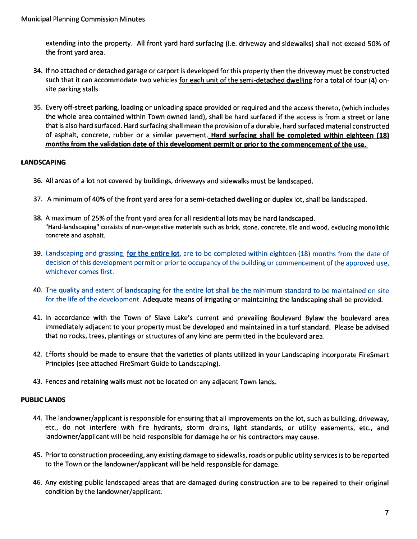extending into the property. All front yard hard surfacing (i.e. driveway and sidewalks) shall not exceed 50% of the front yard area.

- 34. If no attached or detached garage or carpor<sup>t</sup> is developed for this property then the driveway must be constructed such that it can accommodate two vehicles for each unit of the semi-detached dwelling for a total of four (4) onsite parking stalls.
- 35. Every off-street parking, loading or unloading space provided or required and the access thereto, (which includes the whole area contained within Town owned land), shall be hard surfaced if the access is from <sup>a</sup> street or lane that is also hard surfaced. Hard surfacing shall mean the provision ofa durable, hard surfaced material constructed of asphalt, concrete, rubber or a similar pavement. Hard surfacing shall be completed within eighteen (18) months from the validation date of this development permit or prior to the commencement of the use.

# LANDSCAPING

- 36. All areas of <sup>a</sup> lot not covered by buildings, driveways and sidewalks must be landscaped.
- 37. <sup>A</sup> minimum of 40% of the front yard area for <sup>a</sup> semi-detached dwelling or duplex lot, shall be landscaped.
- 38. <sup>A</sup> maximum of 25% of the front yard area for all residential lots may be hard landscaped. "Hard-landscaping' consists of non-vegetative materials such as brick, stone, concrete, tile and wood, excluding monolithic concrete and asphalt.
- 39. Landscaping and grassing, for the entire lot, are to be completed within eighteen (18) months from the date of decision of this development permit or prior to occupancy of the building or commencement of the approved use, whichever comes first.
- 40. The quality and extent of landscaping for the entire lot shall be the minimum standard to be maintained on site for the life of the development. Adequate means of irrigating or maintaining the landscaping shall be provided.
- 41. In accordance with the Town of Slave Lake's current and prevailing Boulevard Bylaw the boulevard area immediately adjacent to your property must be developed and maintained in <sup>a</sup> turf standard. Please be advised that no rocks, trees, plantings or structures of any kind are permitted in the boulevard area.
- 42. Efforts should be made to ensure that the varieties of <sup>p</sup>lants utilized in your Landscaping incorporate FireSmart Principles (see attached FireSmart Guide to Landscaping).
- 43. Fences and retaining walls must not be located on any adjacent Town lands.

#### PUBLIC LANDS

- 44. The landowner/applicant is responsible for ensuring that all improvements on the lot, such as building, driveway, etc., do not interfere with fire hydrants, storm drains, light standards, or utility easements, etc., and landowner/applicant will be held responsible for damage he or his contractors may cause.
- 45. Prior to construction proceeding, any existing damage to sidewalks, roads or public utility services is to be reported to the Town or the landowner/applicant will be held responsible for damage.
- 46. Any existing public landscaped areas that are damaged during construction are to be repaired to their original condition by the landowner/applicant.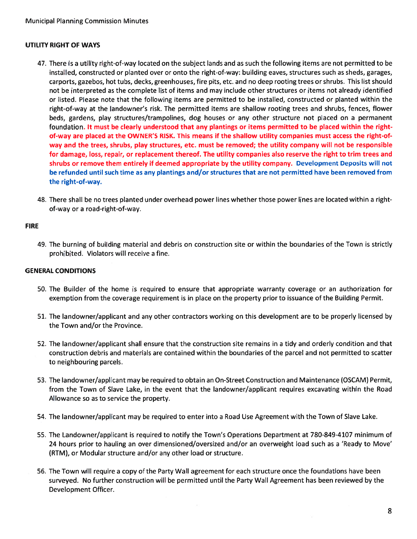## UTILITY RIGHT OF WAYS

- 47. There is <sup>a</sup> utility right-of-way located on the subject lands and as such the following items are not permitted to be installed, constructed or planted over or onto the right-of-way: building eaves, structures such as sheds, garages, carports, gazebos, hot tubs, decks, greenhouses, fire pits, etc. and no deep rooting trees or shrubs. This list should not be interpreted as the complete list of items and may include other structures or items not already identifiec or listed. Please note that the following items are permitted to be installed, constructed or planted within the right-of-way at the landowner's risk. The permitted items are shallow rooting trees and shrubs, fences, flower beds, gardens, play structures/trampolines, dog houses or any other structure not placed on <sup>a</sup> permanen<sup>t</sup> foundation. It must be clearly understood that any plantings or items permitted to be placed within the rightof-way are placed at the OWNER'S RISK. This means if the shallow utility companies must access the right-ofway and the trees, shrubs, play structures, etc. must be removed; the utility company will not be responsible for damage, loss, repair, or replacement thereof. The utility companies also reserve the right to trim trees and shrubs or remove them entirely if deemed appropriate by the utility company. Development Deposits will not be refunded until such time as any plantings and/or structures that are not permitted have been removed from the right-of-way.
- 48. There shall be no trees planted under overhead power lines whether those power lines are located within <sup>a</sup> rightof-way or <sup>a</sup> road-right-of-way.

#### FIRE

49. The burning of building material and debris on construction site or within the boundaries of the Town is strictly prohibited. Violators will receive <sup>a</sup> fine.

#### GENERAL CONDITIONS

- 50. The Builder of the home is required to ensure that appropriate warranty coverage or an authorization for exemption from the coverage requirement is in place on the property prior to issuance of the Building Permit.
- 51. The landowner/applicant and any other contractors working on this development are to be properly licensed by the Town and/or the Province.
- 52. The landowner/applicant shall ensure that the construction site remains in <sup>a</sup> tidy and orderly condition and that construction debris and materials are contained within the boundaries of the parcel and not permitted to scatter to neighbouring parcels.
- 53. The landowner/applicant may be required to obtain an On-Street Construction and Maintenance (OSCAM) Permit, from the Town of Slave Lake, in the event that the landowner/applicant requires excavating within the Road Allowance so as to service the property.
- 54. The landowner/applicant may be required to enter into <sup>a</sup> Road Use Agreement with the Town of Slave Lake.
- 55. The Landowner/applicant is required to notify the Town's Operations Department at 780-849-4107 minimum of 24 hours prior to hauling an over dimensioned/oversized and/or an overweight load such as <sup>a</sup> 'Ready to Move' (RTM), or Modular structure and/or any other load or structure.
- 56. The Town will require <sup>a</sup> copy of the Party Wall agreemen<sup>t</sup> for each structure once the foundations have been surveyed. No further construction will be permitted until the Party Wall Agreement has been reviewed by the Development Officer.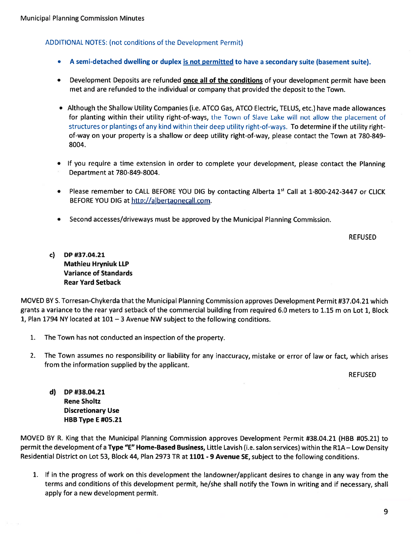## ADDITIONAL NOTES: (not conditions of the Development Permit)

- •A semi-detached dwelling or duplex is not permitted to have <sup>a</sup> secondary suite (basement suite).
- Development Deposits are refunded **<u>once all of the conditions</u>** of your development permit have been met and are refunded to the individual or company that provided the deposit to the Town.
- Although the Shallow Utility Companies (i.e. ATCO Gas, ATCO Electric, TELUS, etc.) have made allowances for <sup>p</sup>lanting within their utility right-of-ways, the Town of Slave Lake will not allow the <sup>p</sup>lacement of structures or <sup>p</sup>lantings of any kind within their deep utility right-of-ways. To determine if the utility rightof-way on your property is <sup>a</sup> shallow or deep utility right-of-way, please contact the Town at 780-849- 8004.
- If you require <sup>a</sup> time extension in order to complete your development, <sup>p</sup>lease contact the Planning Department at 780-849-8004.
- Please remember to CALL BEFORE YOU DIG by contacting Alberta  $1^{st}$  Call at  $1$ -800-242-3447 or CLICK BEFORE YOU DIG at http://albertaonecall.com.
- •Second accesses/driveways must be approved by the Municipal Planning Commission.

REFUSED

c) DP #37.04.21 Mathieu Hryniuk lIP Variance of Standards Rear Yard Setback

MOVED BY S. Torresan-Chykerda that the Municipal Planning Commission approves Development Permit #37.04.21 which grants <sup>a</sup> variance to the rear yard setback of the commercial building from required 6.0 meters to 1.15 <sup>m</sup> on Lot 1, Block 1, Plan 1794 NY located at 101 — 3 Avenue NW subject to the following conditions.

- 1. The Town has not conducted an inspection of the property.
- 2. The Town assumes no responsibility or liability for any inaccuracy, mistake or error of law or fact, which arises from the information supplied by the applicant.

REFUSED

d) DP #38.04.21 Rene Sholtz Discretionary Use HBB Type E #05.21

MOVED BY R. King that the Municipal Planning Commission approves Development Permit #38.04.21 (HBB #05.21) to permit the development of a Type "E" Home-Based Business, Little Lavish (i.e. salon services) within the R1A - Low Density Residential District on Lot 53, Block 44, Plan 2973 TR at <sup>1101</sup> - 9 Avenue SE, subject to the following conditions.

1. If in the progress of work on this development the landowner/applicant desires to change in any way from the terms and conditions of this development permit, he/she shall notify the Town in writing and if necessary, shall apply for <sup>a</sup> new development permit.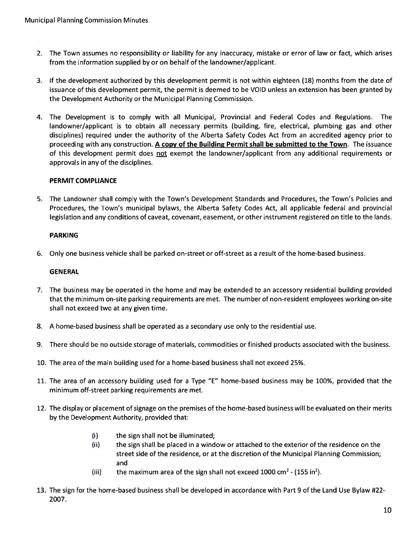- 2. The Town assumes no responsibility or liability for any inaccuracy, mistake or error of law or fact, which arises from the information supplied by or on behalf of the landowner/applicant.
- 3. If the development authorized by this development permit is not within eighteen (18) months from the date of issuance of this development permit, the permit is deemed to be VOID unless an extension has been granted by the Development Authority or the Municipal Planning Commission.
- 4. The Development is to comply with all Municipal, Provincial and Federal Codes and Regulations. The landowner/applicant is to obtain all necessary permits (building, fire, electrical, plumbing gas and other disciplines) required under the authority of the Alberta Safety Codes Act from an accredited agency prior to proceeding with any construction. A copy of the Building Permit shall be submitted to the Town. The issuance of this development permit does <u>not</u> exempt the landowner/applicant from any additional requirements or approvals in any of the disciplines.

## PERMIT COMPLIANCE

5. The Landowner shall comply with the Town's Development Standards and Procedures, the Town's Policies and Procedures, the Town's municipal bylaws, the Alberta Safety Codes Act, all applicable federal and provincial legislation and any conditions of caveat, covenant, easement, or other instrument registered on title to the lands.

#### PARKING

6. Only one business vehicle shall be parked on-street or off-street as <sup>a</sup> result of the home-based business.

#### **GENERAL**

- 7. The business may be operated in the home and may be extended to an accessory residential building provided that the minimum on-site parking requirements are met. The number of non-resident employees working on-site shall not exceed two at any given time.
- 8. A home-based business shall be operated as <sup>a</sup> secondary use only to the residential use.
- 9. There should be no outside storage of materials, commodities or finished products associated with the business.
- 10. The area of the main building used for <sup>a</sup> home-based business shall not exceed 25%.
- 11. The area of an accessory building used for <sup>a</sup> Type "E" home-based business may be 100%, provided that the minimum off-street parking requirements are met.
- 12. The display or placement of signage on the premises of the home-based business will be evaluated on their merits by the Development Authority, provided that:
	- (i) the sign shall not be illuminated;
	- (ii) the sign shall be placed in <sup>a</sup> window or attached to the exterior of the residence on the street side of the residence, or at the discretion of the Municipal Planning Commission; and
	- (iii) the maximum area of the sign shall not exceed 1000 cm<sup>2</sup> (155 in<sup>2</sup>).
- 13. The sign for the home-based business shall be developed in accordance with Part 9 of the Land Use Bylaw #22- 2007.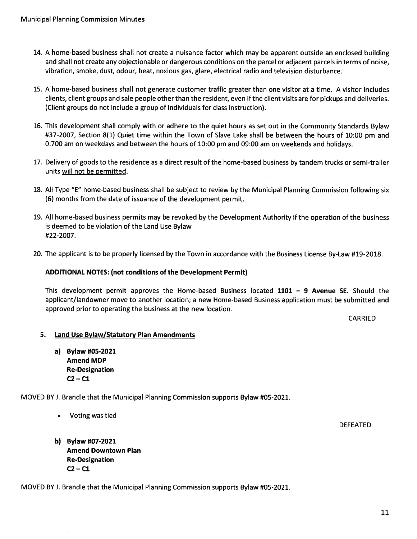- 14. A home-based business shall not create <sup>a</sup> nuisance factor which may be apparen<sup>t</sup> outside an enclosed building and shall not create any objectionable or dangerous conditions on the parcel or adjacent parcels in terms of noise, vibration, smoke, dust, odour, heat, noxious gas, glare, electrical radio and television disturbance.
- 15. A home-based business shall not generate customer traffic greater than one visitor at <sup>a</sup> time. A visitor includes clients, client groups and sale people other than the resident, even if the client visits are for pickups and deliveries. (Client groups do not include <sup>a</sup> group of individuals for class instruction).
- 16. This development shall comply with or adhere to the quiet hours as set out in the Community Standards Bylaw #37-2007, Section 8(1) Quiet time within the Town of Slave Lake shall be between the hours of 10:00 pm and 0:700 am on weekdays and between the hours of 10:00 pm and 09:00 am on weekends and holidays.
- 17. Delivery of goods to the residence as <sup>a</sup> direct result of the home-based business by tandem trucks or semi-trailer units will not be permitted.
- 18. All Type "E" home-based business shall be subject to review by the Municipal Planning Commission following six (6) months from the date of issuance of the development permit.
- 19. All home-based business permits may be revoked by the Development Authority if the operation of the business is deemed to be violation of the Land Use Bylaw #22-2007.
- 20. The applicant is to be properly licensed by the Town in accordance with the Business License By-Law #19-2018.

#### ADDITIONAL NOTES: (not conditions of the Development Permit)

This development permit approves the Home-based Business located 1101 — 9 Avenue SE. Should the applicant/landowner move to another location; <sup>a</sup> new Home-based Business application must be submitted and approved prior to operating the business at the new location.

CARRIED

#### 5. Land Use Bylaw/Statutory Plan Amendments

a) Bylaw #05-2021 Amend MDP Re-Designation  $C2 - C1$ 

MOVED BY J. Brandle that the Municipal Planning Commission supports Bylaw #05-2021.

Voting was tied

b) Bylaw #07-2021 Amend Downtown Plan Re-Designation  $C2 - C1$ 

MOVED BY J. Brandle that the Municipal Planning Commission supports Bylaw #05-2021.

DEFEATED